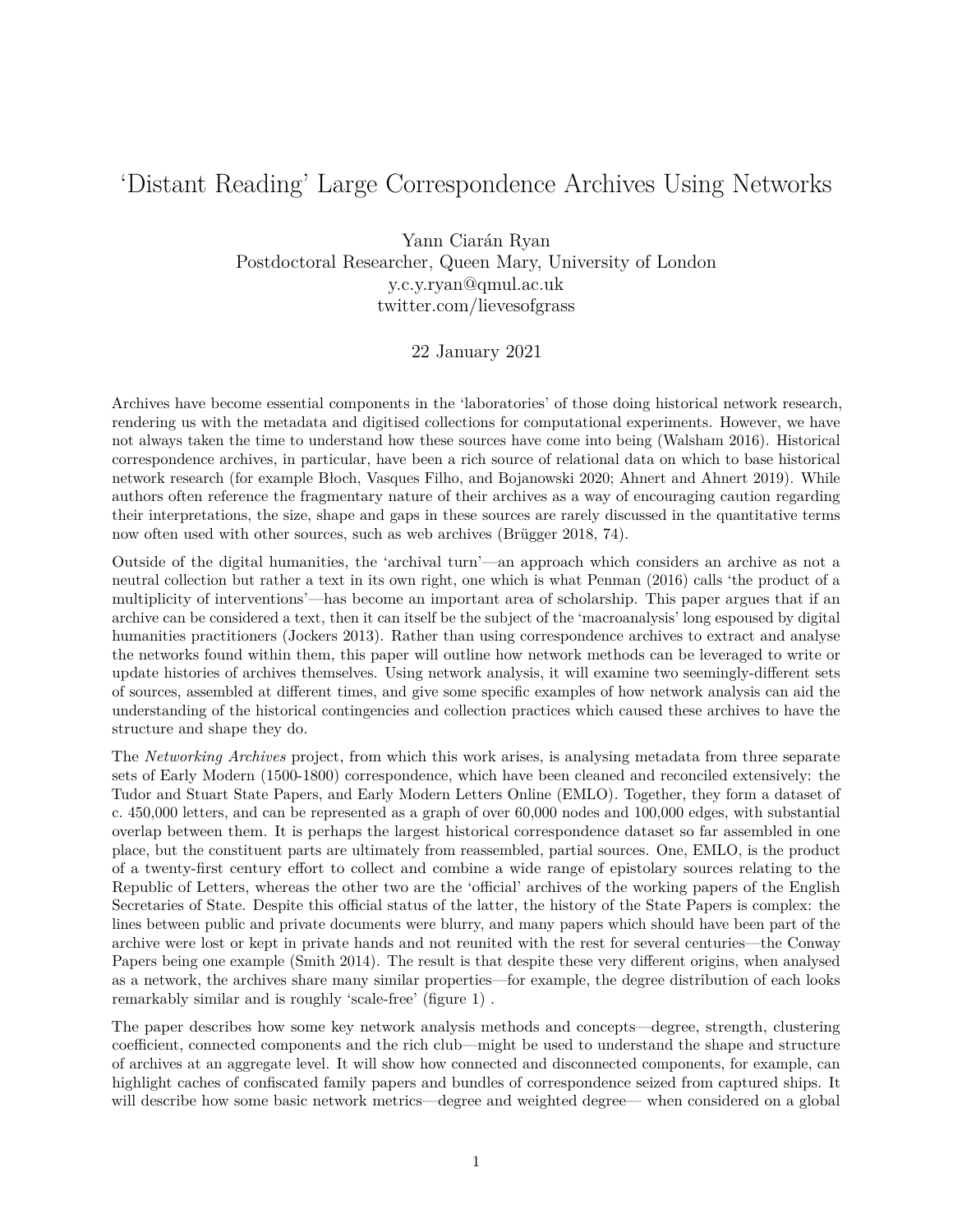## 'Distant Reading' Large Correspondence Archives Using Networks

Yann Ciarán Ryan Postdoctoral Researcher, Queen Mary, University of London [y.c.y.ryan@qmul.ac.uk](mailto:y.c.y.ryan@qmul.ac.uk) twitter.com/lievesofgrass

## 22 January 2021

Archives have become essential components in the 'laboratories' of those doing historical network research, rendering us with the metadata and digitised collections for computational experiments. However, we have not always taken the time to understand how these sources have come into being (Walsham 2016). Historical correspondence archives, in particular, have been a rich source of relational data on which to base historical network research (for example Błoch, Vasques Filho, and Bojanowski 2020; Ahnert and Ahnert 2019). While authors often reference the fragmentary nature of their archives as a way of encouraging caution regarding their interpretations, the size, shape and gaps in these sources are rarely discussed in the quantitative terms now often used with other sources, such as web archives (Brügger 2018, 74).

Outside of the digital humanities, the 'archival turn'—an approach which considers an archive as not a neutral collection but rather a text in its own right, one which is what Penman (2016) calls 'the product of a multiplicity of interventions'—has become an important area of scholarship. This paper argues that if an archive can be considered a text, then it can itself be the subject of the 'macroanalysis' long espoused by digital humanities practitioners (Jockers 2013). Rather than using correspondence archives to extract and analyse the networks found within them, this paper will outline how network methods can be leveraged to write or update histories of archives themselves. Using network analysis, it will examine two seemingly-different sets of sources, assembled at different times, and give some specific examples of how network analysis can aid the understanding of the historical contingencies and collection practices which caused these archives to have the structure and shape they do.

The *Networking Archives* project, from which this work arises, is analysing metadata from three separate sets of Early Modern (1500-1800) correspondence, which have been cleaned and reconciled extensively: the Tudor and Stuart State Papers, and Early Modern Letters Online (EMLO)*.* Together, they form a dataset of c. 450,000 letters, and can be represented as a graph of over 60,000 nodes and 100,000 edges, with substantial overlap between them. It is perhaps the largest historical correspondence dataset so far assembled in one place, but the constituent parts are ultimately from reassembled, partial sources. One, EMLO, is the product of a twenty-first century effort to collect and combine a wide range of epistolary sources relating to the Republic of Letters, whereas the other two are the 'official' archives of the working papers of the English Secretaries of State. Despite this official status of the latter, the history of the State Papers is complex: the lines between public and private documents were blurry, and many papers which should have been part of the archive were lost or kept in private hands and not reunited with the rest for several centuries—the Conway Papers being one example (Smith 2014). The result is that despite these very different origins, when analysed as a network, the archives share many similar properties—for example, the degree distribution of each looks remarkably similar and is roughly 'scale-free' (figure [1\)](#page-1-0) .

The paper describes how some key network analysis methods and concepts—degree, strength, clustering coefficient, connected components and the rich club—might be used to understand the shape and structure of archives at an aggregate level. It will show how connected and disconnected components, for example, can highlight caches of confiscated family papers and bundles of correspondence seized from captured ships. It will describe how some basic network metrics—degree and weighted degree— when considered on a global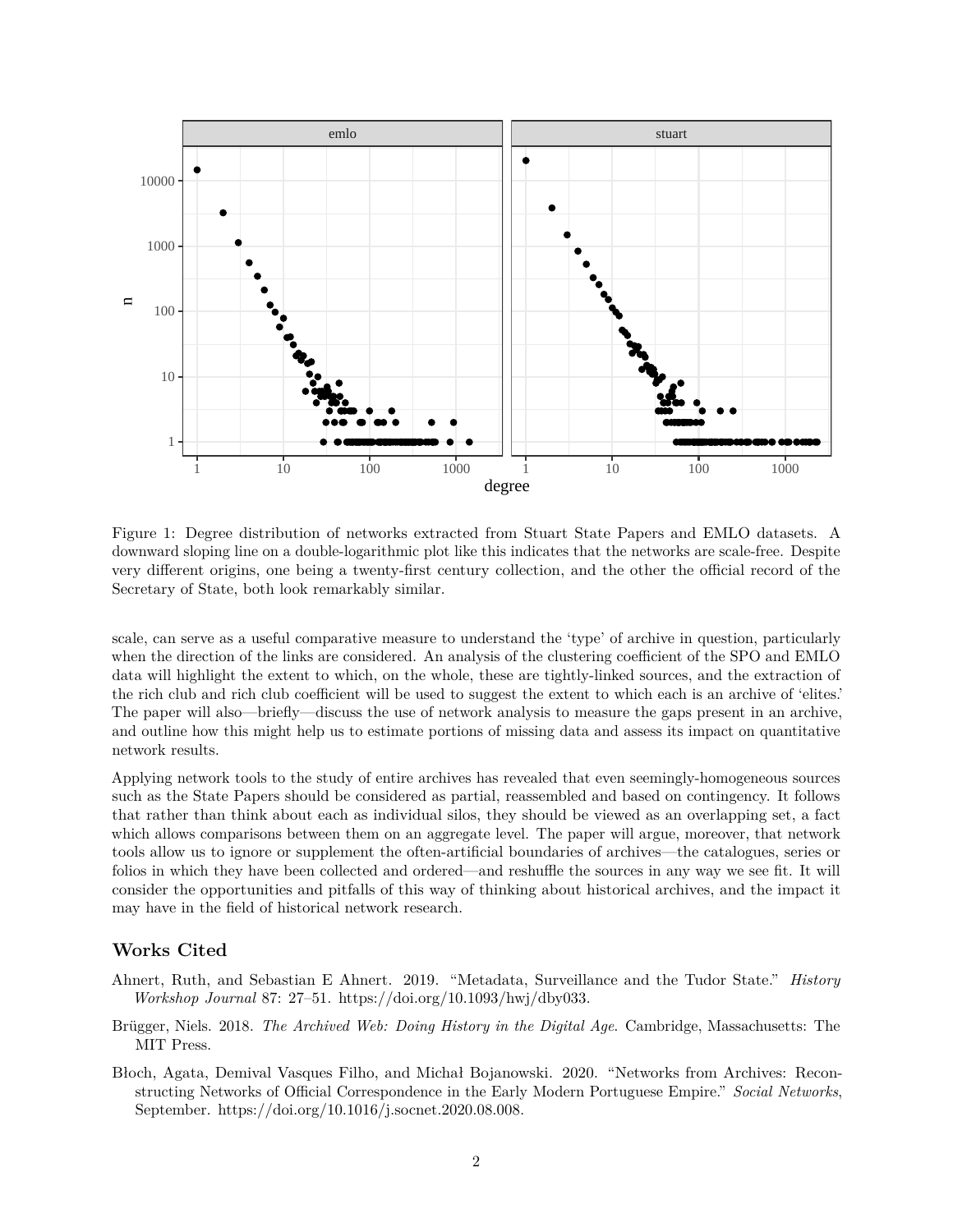

<span id="page-1-0"></span>Figure 1: Degree distribution of networks extracted from Stuart State Papers and EMLO datasets. A downward sloping line on a double-logarithmic plot like this indicates that the networks are scale-free. Despite very different origins, one being a twenty-first century collection, and the other the official record of the Secretary of State, both look remarkably similar.

scale, can serve as a useful comparative measure to understand the 'type' of archive in question, particularly when the direction of the links are considered. An analysis of the clustering coefficient of the SPO and EMLO data will highlight the extent to which, on the whole, these are tightly-linked sources, and the extraction of the rich club and rich club coefficient will be used to suggest the extent to which each is an archive of 'elites.' The paper will also—briefly—discuss the use of network analysis to measure the gaps present in an archive, and outline how this might help us to estimate portions of missing data and assess its impact on quantitative network results.

Applying network tools to the study of entire archives has revealed that even seemingly-homogeneous sources such as the State Papers should be considered as partial, reassembled and based on contingency. It follows that rather than think about each as individual silos, they should be viewed as an overlapping set, a fact which allows comparisons between them on an aggregate level. The paper will argue, moreover, that network tools allow us to ignore or supplement the often-artificial boundaries of archives—the catalogues, series or folios in which they have been collected and ordered—and reshuffle the sources in any way we see fit. It will consider the opportunities and pitfalls of this way of thinking about historical archives, and the impact it may have in the field of historical network research.

## **Works Cited**

- Ahnert, Ruth, and Sebastian E Ahnert. 2019. "Metadata, Surveillance and the Tudor State." *History Workshop Journal* 87: 27–51. [https://doi.org/10.1093/hwj/dby033.](https://doi.org/10.1093/hwj/dby033)
- Brügger, Niels. 2018. *The Archived Web: Doing History in the Digital Age*. Cambridge, Massachusetts: The MIT Press.
- Błoch, Agata, Demival Vasques Filho, and Michał Bojanowski. 2020. "Networks from Archives: Reconstructing Networks of Official Correspondence in the Early Modern Portuguese Empire." *Social Networks*, September. [https://doi.org/10.1016/j.socnet.2020.08.008.](https://doi.org/10.1016/j.socnet.2020.08.008)